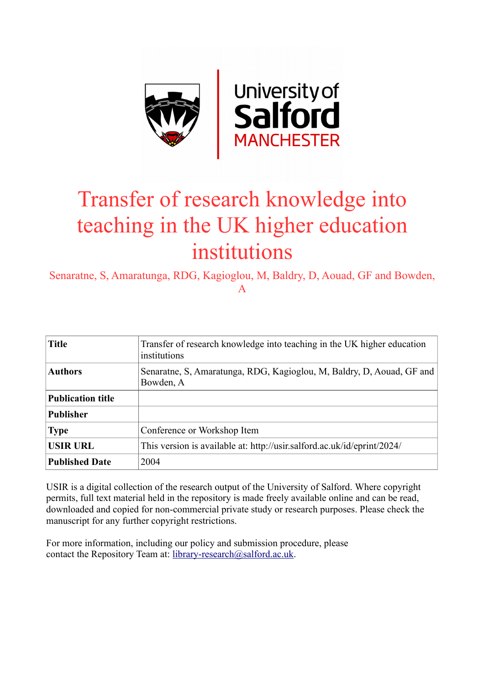

# Transfer of research knowledge into teaching in the UK higher education institutions

Senaratne, S, Amaratunga, RDG, Kagioglou, M, Baldry, D, Aouad, GF and Bowden, A

| <b>Title</b>             | Transfer of research knowledge into teaching in the UK higher education<br>institutions |
|--------------------------|-----------------------------------------------------------------------------------------|
| <b>Authors</b>           | Senaratne, S. Amaratunga, RDG, Kagioglou, M. Baldry, D. Aouad, GF and<br>Bowden, A      |
| <b>Publication title</b> |                                                                                         |
| <b>Publisher</b>         |                                                                                         |
| <b>Type</b>              | Conference or Workshop Item                                                             |
| <b>USIR URL</b>          | This version is available at: http://usir.salford.ac.uk/id/eprint/2024/                 |
| <b>Published Date</b>    | 2004                                                                                    |

USIR is a digital collection of the research output of the University of Salford. Where copyright permits, full text material held in the repository is made freely available online and can be read, downloaded and copied for non-commercial private study or research purposes. Please check the manuscript for any further copyright restrictions.

For more information, including our policy and submission procedure, please contact the Repository Team at: [library-research@salford.ac.uk.](mailto:library-research@salford.ac.uk)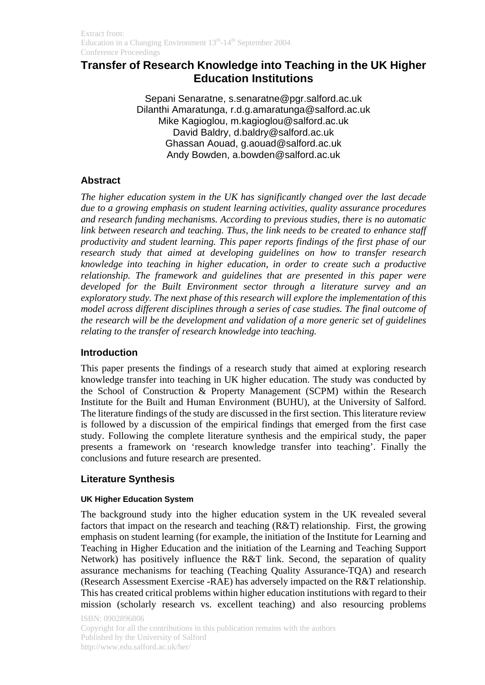## **Transfer of Research Knowledge into Teaching in the UK Higher Education Institutions**

Sepani Senaratne, s.senaratne@pgr.salford.ac.uk Dilanthi Amaratunga, r.d.g.amaratunga@salford.ac.uk Mike Kagioglou, m.kagioglou@salford.ac.uk David Baldry, d.baldry@salford.ac.uk Ghassan Aouad, g.aouad@salford.ac.uk Andy Bowden, a.bowden@salford.ac.uk

## **Abstract**

*The higher education system in the UK has significantly changed over the last decade due to a growing emphasis on student learning activities, quality assurance procedures and research funding mechanisms. According to previous studies, there is no automatic link between research and teaching. Thus, the link needs to be created to enhance staff productivity and student learning. This paper reports findings of the first phase of our research study that aimed at developing guidelines on how to transfer research knowledge into teaching in higher education, in order to create such a productive relationship. The framework and guidelines that are presented in this paper were developed for the Built Environment sector through a literature survey and an exploratory study. The next phase of this research will explore the implementation of this model across different disciplines through a series of case studies. The final outcome of the research will be the development and validation of a more generic set of guidelines relating to the transfer of research knowledge into teaching.* 

### **Introduction**

This paper presents the findings of a research study that aimed at exploring research knowledge transfer into teaching in UK higher education. The study was conducted by the School of Construction & Property Management (SCPM) within the Research Institute for the Built and Human Environment (BUHU), at the University of Salford. The literature findings of the study are discussed in the first section. This literature review is followed by a discussion of the empirical findings that emerged from the first case study. Following the complete literature synthesis and the empirical study, the paper presents a framework on 'research knowledge transfer into teaching'. Finally the conclusions and future research are presented.

### **Literature Synthesis**

#### **UK Higher Education System**

The background study into the higher education system in the UK revealed several factors that impact on the research and teaching (R&T) relationship. First, the growing emphasis on student learning (for example, the initiation of the Institute for Learning and Teaching in Higher Education and the initiation of the Learning and Teaching Support Network) has positively influence the R&T link. Second, the separation of quality assurance mechanisms for teaching (Teaching Quality Assurance-TQA) and research (Research Assessment Exercise -RAE) has adversely impacted on the R&T relationship. This has created critical problems within higher education institutions with regard to their mission (scholarly research vs. excellent teaching) and also resourcing problems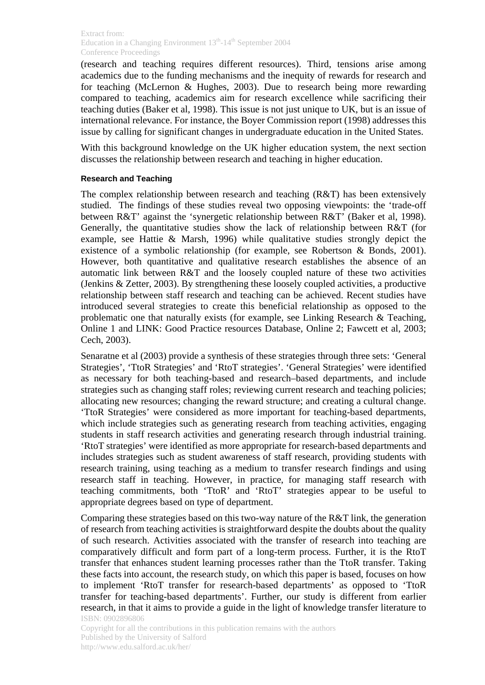(research and teaching requires different resources). Third, tensions arise among academics due to the funding mechanisms and the inequity of rewards for research and for teaching (McLernon & Hughes, 2003). Due to research being more rewarding compared to teaching, academics aim for research excellence while sacrificing their teaching duties (Baker et al, 1998). This issue is not just unique to UK, but is an issue of international relevance. For instance, the Boyer Commission report (1998) addresses this issue by calling for significant changes in undergraduate education in the United States.

With this background knowledge on the UK higher education system, the next section discusses the relationship between research and teaching in higher education.

#### **Research and Teaching**

The complex relationship between research and teaching (R&T) has been extensively studied. The findings of these studies reveal two opposing viewpoints: the 'trade-off between R&T' against the 'synergetic relationship between R&T' (Baker et al, 1998). Generally, the quantitative studies show the lack of relationship between R&T (for example, see Hattie & Marsh, 1996) while qualitative studies strongly depict the existence of a symbolic relationship (for example, see Robertson & Bonds, 2001). However, both quantitative and qualitative research establishes the absence of an automatic link between R&T and the loosely coupled nature of these two activities (Jenkins & Zetter, 2003). By strengthening these loosely coupled activities, a productive relationship between staff research and teaching can be achieved. Recent studies have introduced several strategies to create this beneficial relationship as opposed to the problematic one that naturally exists (for example, see Linking Research & Teaching, Online 1 and LINK: Good Practice resources Database, Online 2; Fawcett et al, 2003; Cech, 2003).

Senaratne et al (2003) provide a synthesis of these strategies through three sets: 'General Strategies', 'TtoR Strategies' and 'RtoT strategies'. 'General Strategies' were identified as necessary for both teaching-based and research–based departments, and include strategies such as changing staff roles; reviewing current research and teaching policies; allocating new resources; changing the reward structure; and creating a cultural change. 'TtoR Strategies' were considered as more important for teaching-based departments, which include strategies such as generating research from teaching activities, engaging students in staff research activities and generating research through industrial training. 'RtoT strategies' were identified as more appropriate for research-based departments and includes strategies such as student awareness of staff research, providing students with research training, using teaching as a medium to transfer research findings and using research staff in teaching. However, in practice, for managing staff research with teaching commitments, both 'TtoR' and 'RtoT' strategies appear to be useful to appropriate degrees based on type of department.

ISBN: 0902896806 Comparing these strategies based on this two-way nature of the R&T link, the generation of research from teaching activities is straightforward despite the doubts about the quality of such research. Activities associated with the transfer of research into teaching are comparatively difficult and form part of a long-term process. Further, it is the RtoT transfer that enhances student learning processes rather than the TtoR transfer. Taking these facts into account, the research study, on which this paper is based, focuses on how to implement 'RtoT transfer for research-based departments' as opposed to 'TtoR transfer for teaching-based departments'. Further, our study is different from earlier research, in that it aims to provide a guide in the light of knowledge transfer literature to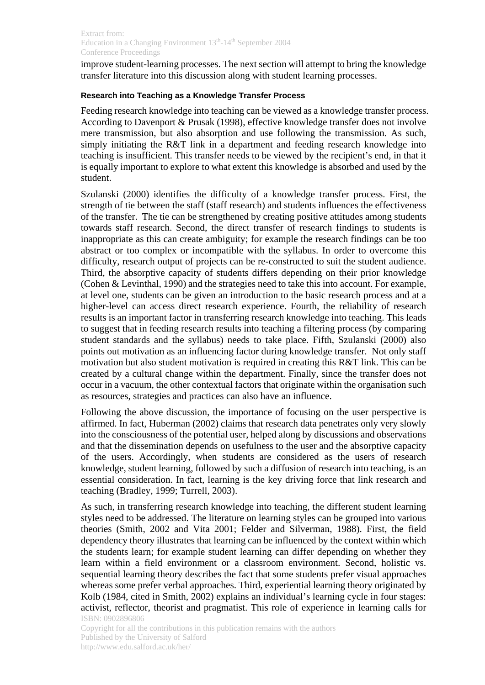improve student-learning processes. The next section will attempt to bring the knowledge transfer literature into this discussion along with student learning processes.

#### **Research into Teaching as a Knowledge Transfer Process**

Feeding research knowledge into teaching can be viewed as a knowledge transfer process. According to Davenport & Prusak (1998), effective knowledge transfer does not involve mere transmission, but also absorption and use following the transmission. As such, simply initiating the R&T link in a department and feeding research knowledge into teaching is insufficient. This transfer needs to be viewed by the recipient's end, in that it is equally important to explore to what extent this knowledge is absorbed and used by the student.

Szulanski (2000) identifies the difficulty of a knowledge transfer process. First, the strength of tie between the staff (staff research) and students influences the effectiveness of the transfer. The tie can be strengthened by creating positive attitudes among students towards staff research. Second, the direct transfer of research findings to students is inappropriate as this can create ambiguity; for example the research findings can be too abstract or too complex or incompatible with the syllabus. In order to overcome this difficulty, research output of projects can be re-constructed to suit the student audience. Third, the absorptive capacity of students differs depending on their prior knowledge (Cohen & Levinthal, 1990) and the strategies need to take this into account. For example, at level one, students can be given an introduction to the basic research process and at a higher-level can access direct research experience. Fourth, the reliability of research results is an important factor in transferring research knowledge into teaching. This leads to suggest that in feeding research results into teaching a filtering process (by comparing student standards and the syllabus) needs to take place. Fifth, Szulanski (2000) also points out motivation as an influencing factor during knowledge transfer. Not only staff motivation but also student motivation is required in creating this R&T link. This can be created by a cultural change within the department. Finally, since the transfer does not occur in a vacuum, the other contextual factors that originate within the organisation such as resources, strategies and practices can also have an influence.

Following the above discussion, the importance of focusing on the user perspective is affirmed. In fact, Huberman (2002) claims that research data penetrates only very slowly into the consciousness of the potential user, helped along by discussions and observations and that the dissemination depends on usefulness to the user and the absorptive capacity of the users. Accordingly, when students are considered as the users of research knowledge, student learning, followed by such a diffusion of research into teaching, is an essential consideration. In fact, learning is the key driving force that link research and teaching (Bradley, 1999; Turrell, 2003).

ISBN: 0902896806 As such, in transferring research knowledge into teaching, the different student learning styles need to be addressed. The literature on learning styles can be grouped into various theories (Smith, 2002 and Vita 2001; Felder and Silverman, 1988). First, the field dependency theory illustrates that learning can be influenced by the context within which the students learn; for example student learning can differ depending on whether they learn within a field environment or a classroom environment. Second, holistic vs. sequential learning theory describes the fact that some students prefer visual approaches whereas some prefer verbal approaches. Third, experiential learning theory originated by Kolb (1984, cited in Smith, 2002) explains an individual's learning cycle in four stages: activist, reflector, theorist and pragmatist. This role of experience in learning calls for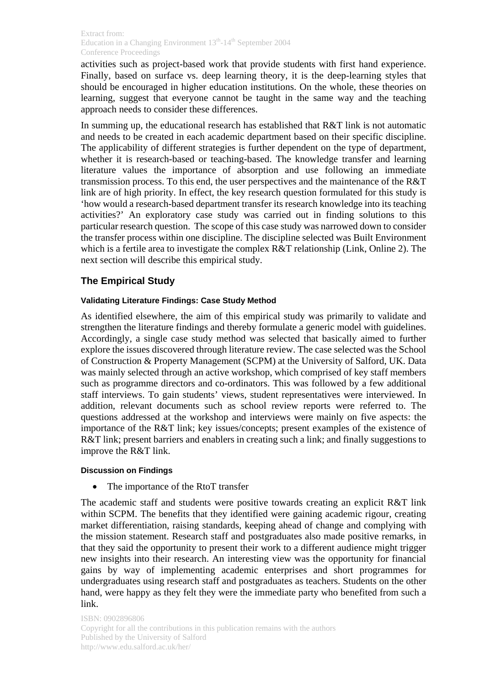activities such as project-based work that provide students with first hand experience. Finally, based on surface vs. deep learning theory, it is the deep-learning styles that should be encouraged in higher education institutions. On the whole, these theories on learning, suggest that everyone cannot be taught in the same way and the teaching approach needs to consider these differences.

In summing up, the educational research has established that R&T link is not automatic and needs to be created in each academic department based on their specific discipline. The applicability of different strategies is further dependent on the type of department, whether it is research-based or teaching-based. The knowledge transfer and learning literature values the importance of absorption and use following an immediate transmission process. To this end, the user perspectives and the maintenance of the R&T link are of high priority. In effect, the key research question formulated for this study is 'how would a research-based department transfer its research knowledge into its teaching activities?' An exploratory case study was carried out in finding solutions to this particular research question. The scope of this case study was narrowed down to consider the transfer process within one discipline. The discipline selected was Built Environment which is a fertile area to investigate the complex R&T relationship (Link, Online 2). The next section will describe this empirical study.

## **The Empirical Study**

#### **Validating Literature Findings: Case Study Method**

As identified elsewhere, the aim of this empirical study was primarily to validate and strengthen the literature findings and thereby formulate a generic model with guidelines. Accordingly, a single case study method was selected that basically aimed to further explore the issues discovered through literature review. The case selected was the School of Construction & Property Management (SCPM) at the University of Salford, UK. Data was mainly selected through an active workshop, which comprised of key staff members such as programme directors and co-ordinators. This was followed by a few additional staff interviews. To gain students' views, student representatives were interviewed. In addition, relevant documents such as school review reports were referred to. The questions addressed at the workshop and interviews were mainly on five aspects: the importance of the R&T link; key issues/concepts; present examples of the existence of R&T link; present barriers and enablers in creating such a link; and finally suggestions to improve the R&T link.

#### **Discussion on Findings**

• The importance of the RtoT transfer

The academic staff and students were positive towards creating an explicit R&T link within SCPM. The benefits that they identified were gaining academic rigour, creating market differentiation, raising standards, keeping ahead of change and complying with the mission statement. Research staff and postgraduates also made positive remarks, in that they said the opportunity to present their work to a different audience might trigger new insights into their research. An interesting view was the opportunity for financial gains by way of implementing academic enterprises and short programmes for undergraduates using research staff and postgraduates as teachers. Students on the other hand, were happy as they felt they were the immediate party who benefited from such a link.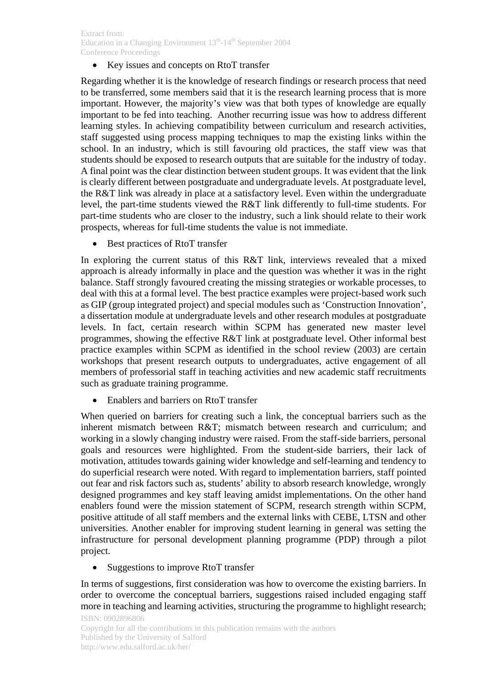#### Extract from: Education in a Changing Environment  $13<sup>th</sup>$ -14<sup>th</sup> September 2004 Conference Proceedings

Key issues and concepts on RtoT transfer

Regarding whether it is the knowledge of research findings or research process that need to be transferred, some members said that it is the research learning process that is more important. However, the majority's view was that both types of knowledge are equally important to be fed into teaching. Another recurring issue was how to address different learning styles. In achieving compatibility between curriculum and research activities, staff suggested using process mapping techniques to map the existing links within the school. In an industry, which is still favouring old practices, the staff view was that students should be exposed to research outputs that are suitable for the industry of today. A final point was the clear distinction between student groups. It was evident that the link is clearly different between postgraduate and undergraduate levels. At postgraduate level, the R&T link was already in place at a satisfactory level. Even within the undergraduate level, the part-time students viewed the R&T link differently to full-time students. For part-time students who are closer to the industry, such a link should relate to their work prospects, whereas for full-time students the value is not immediate.

Best practices of RtoT transfer

In exploring the current status of this R&T link, interviews revealed that a mixed approach is already informally in place and the question was whether it was in the right balance. Staff strongly favoured creating the missing strategies or workable processes, to deal with this at a formal level. The best practice examples were project-based work such as GIP (group integrated project) and special modules such as 'Construction Innovation', a dissertation module at undergraduate levels and other research modules at postgraduate levels. In fact, certain research within SCPM has generated new master level programmes, showing the effective R&T link at postgraduate level. Other informal best practice examples within SCPM as identified in the school review (2003) are certain workshops that present research outputs to undergraduates, active engagement of all members of professorial staff in teaching activities and new academic staff recruitments such as graduate training programme.

Enablers and barriers on RtoT transfer

When queried on barriers for creating such a link, the conceptual barriers such as the inherent mismatch between R&T; mismatch between research and curriculum; and working in a slowly changing industry were raised. From the staff-side barriers, personal goals and resources were highlighted. From the student-side barriers, their lack of motivation, attitudes towards gaining wider knowledge and self-learning and tendency to do superficial research were noted. With regard to implementation barriers, staff pointed out fear and risk factors such as, students' ability to absorb research knowledge, wrongly designed programmes and key staff leaving amidst implementations. On the other hand enablers found were the mission statement of SCPM, research strength within SCPM, positive attitude of all staff members and the external links with CEBE, LTSN and other universities. Another enabler for improving student learning in general was setting the infrastructure for personal development planning programme (PDP) through a pilot project.

• Suggestions to improve RtoT transfer

In terms of suggestions, first consideration was how to overcome the existing barriers. In order to overcome the conceptual barriers, suggestions raised included engaging staff more in teaching and learning activities, structuring the programme to highlight research;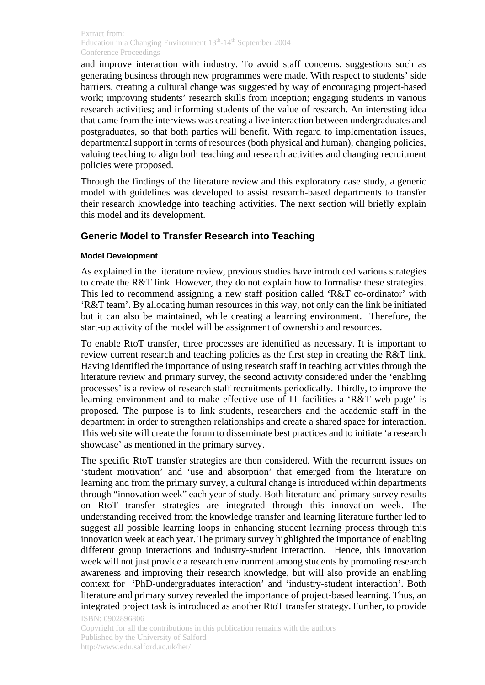and improve interaction with industry. To avoid staff concerns, suggestions such as generating business through new programmes were made. With respect to students' side barriers, creating a cultural change was suggested by way of encouraging project-based work; improving students' research skills from inception; engaging students in various research activities; and informing students of the value of research. An interesting idea that came from the interviews was creating a live interaction between undergraduates and postgraduates, so that both parties will benefit. With regard to implementation issues, departmental support in terms of resources (both physical and human), changing policies, valuing teaching to align both teaching and research activities and changing recruitment policies were proposed.

Through the findings of the literature review and this exploratory case study, a generic model with guidelines was developed to assist research-based departments to transfer their research knowledge into teaching activities. The next section will briefly explain this model and its development.

## **Generic Model to Transfer Research into Teaching**

#### **Model Development**

As explained in the literature review, previous studies have introduced various strategies to create the R&T link. However, they do not explain how to formalise these strategies. This led to recommend assigning a new staff position called 'R&T co-ordinator' with 'R&T team'. By allocating human resources in this way, not only can the link be initiated but it can also be maintained, while creating a learning environment. Therefore, the start-up activity of the model will be assignment of ownership and resources.

To enable RtoT transfer, three processes are identified as necessary. It is important to review current research and teaching policies as the first step in creating the R&T link. Having identified the importance of using research staff in teaching activities through the literature review and primary survey, the second activity considered under the 'enabling processes' is a review of research staff recruitments periodically. Thirdly, to improve the learning environment and to make effective use of IT facilities a 'R&T web page' is proposed. The purpose is to link students, researchers and the academic staff in the department in order to strengthen relationships and create a shared space for interaction. This web site will create the forum to disseminate best practices and to initiate 'a research showcase' as mentioned in the primary survey.

The specific RtoT transfer strategies are then considered. With the recurrent issues on 'student motivation' and 'use and absorption' that emerged from the literature on learning and from the primary survey, a cultural change is introduced within departments through "innovation week" each year of study. Both literature and primary survey results on RtoT transfer strategies are integrated through this innovation week. The understanding received from the knowledge transfer and learning literature further led to suggest all possible learning loops in enhancing student learning process through this innovation week at each year. The primary survey highlighted the importance of enabling different group interactions and industry-student interaction. Hence, this innovation week will not just provide a research environment among students by promoting research awareness and improving their research knowledge, but will also provide an enabling context for 'PhD-undergraduates interaction' and 'industry-student interaction'. Both literature and primary survey revealed the importance of project-based learning. Thus, an integrated project task is introduced as another RtoT transfer strategy. Further, to provide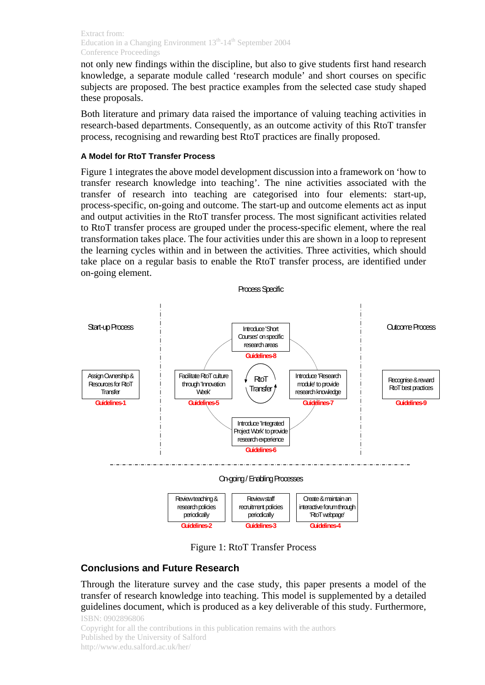not only new findings within the discipline, but also to give students first hand research knowledge, a separate module called 'research module' and short courses on specific subjects are proposed. The best practice examples from the selected case study shaped these proposals.

Both literature and primary data raised the importance of valuing teaching activities in research-based departments. Consequently, as an outcome activity of this RtoT transfer process, recognising and rewarding best RtoT practices are finally proposed.

#### **A Model for RtoT Transfer Process**

Figure 1 integrates the above model development discussion into a framework on 'how to transfer research knowledge into teaching'. The nine activities associated with the transfer of research into teaching are categorised into four elements: start-up, process-specific, on-going and outcome. The start-up and outcome elements act as input and output activities in the RtoT transfer process. The most significant activities related to RtoT transfer process are grouped under the process-specific element, where the real transformation takes place. The four activities under this are shown in a loop to represent the learning cycles within and in between the activities. Three activities, which should take place on a regular basis to enable the RtoT transfer process, are identified under on-going element.



Figure 1: RtoT Transfer Process

## **Conclusions and Future Research**

Through the literature survey and the case study, this paper presents a model of the transfer of research knowledge into teaching. This model is supplemented by a detailed guidelines document, which is produced as a key deliverable of this study. Furthermore,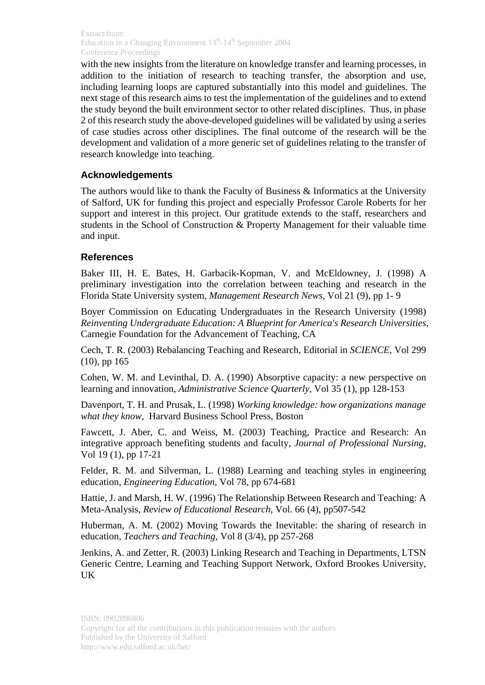with the new insights from the literature on knowledge transfer and learning processes, in addition to the initiation of research to teaching transfer, the absorption and use, including learning loops are captured substantially into this model and guidelines. The next stage of this research aims to test the implementation of the guidelines and to extend the study beyond the built environment sector to other related disciplines. Thus, in phase 2 of this research study the above-developed guidelines will be validated by using a series of case studies across other disciplines. The final outcome of the research will be the development and validation of a more generic set of guidelines relating to the transfer of research knowledge into teaching.

## **Acknowledgements**

The authors would like to thank the Faculty of Business & Informatics at the University of Salford, UK for funding this project and especially Professor Carole Roberts for her support and interest in this project. Our gratitude extends to the staff, researchers and students in the School of Construction & Property Management for their valuable time and input.

### **References**

Baker III, H. E. Bates, H. Garbacik-Kopman, V. and McEldowney, J. (1998) A preliminary investigation into the correlation between teaching and research in the Florida State University system, *Management Research News*, Vol 21 (9), pp 1- 9

Boyer Commission on Educating Undergraduates in the Research University (1998) *Reinventing Undergraduate Education: A Blueprint for America's Research Universities,* Carnegie Foundation for the Advancement of Teaching, CA

Cech, T. R. (2003) Rebalancing Teaching and Research, Editorial in *SCIENCE*, Vol 299 (10), pp 165

Cohen, W. M. and Levinthal, D. A. (1990) Absorptive capacity: a new perspective on learning and innovation, *Administrative Science Quarterly*, Vol 35 (1), pp 128-153

Davenport, T. H. and Prusak, L. (1998) *Working knowledge: how organizations manage what they know,* Harvard Business School Press, Boston

Fawcett, J. Aber, C. and Weiss, M. (2003) Teaching, Practice and Research: An integrative approach benefiting students and faculty, *Journal of Professional Nursing*, Vol 19 (1), pp 17-21

Felder, R. M. and Silverman, L. (1988) Learning and teaching styles in engineering education, *Engineering Education*, Vol 78, pp 674-681

Hattie, J. and Marsh, H. W. (1996) The Relationship Between Research and Teaching: A Meta-Analysis, *Review of Educational Research*, Vol. 66 (4), pp507-542

Huberman, A. M. (2002) Moving Towards the Inevitable: the sharing of research in education*, Teachers and Teaching*, Vol 8 (3/4), pp 257-268

Jenkins, A. and Zetter, R. (2003) Linking Research and Teaching in Departments, LTSN Generic Centre, Learning and Teaching Support Network, Oxford Brookes University, UK